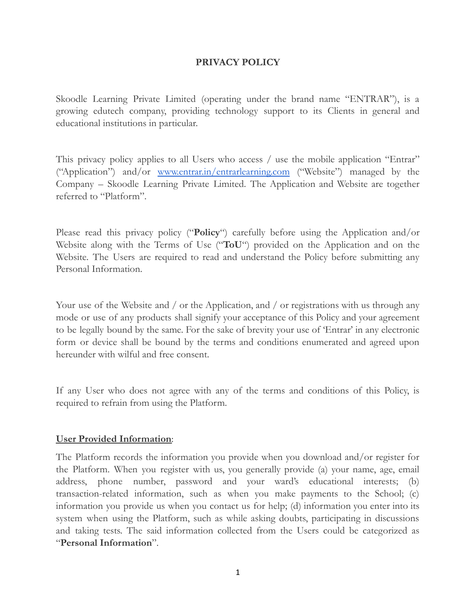### **PRIVACY POLICY**

Skoodle Learning Private Limited (operating under the brand name "ENTRAR"), is a growing edutech company, providing technology support to its Clients in general and educational institutions in particular.

This privacy policy applies to all Users who access / use the mobile application "Entrar" ("Application") and/or [www.entrar.in/entrarlearning.com](http://www.entrar.in/entrarlearning.com) ("Website") managed by the Company – Skoodle Learning Private Limited. The Application and Website are together referred to "Platform".

Please read this privacy policy ("**Policy**") carefully before using the Application and/or Website along with the Terms of Use ("**ToU**") provided on the Application and on the Website. The Users are required to read and understand the Policy before submitting any Personal Information.

Your use of the Website and / or the Application, and / or registrations with us through any mode or use of any products shall signify your acceptance of this Policy and your agreement to be legally bound by the same. For the sake of brevity your use of 'Entrar' in any electronic form or device shall be bound by the terms and conditions enumerated and agreed upon hereunder with wilful and free consent.

If any User who does not agree with any of the terms and conditions of this Policy, is required to refrain from using the Platform.

#### **User Provided Information**:

The Platform records the information you provide when you download and/or register for the Platform. When you register with us, you generally provide (a) your name, age, email address, phone number, password and your ward's educational interests; (b) transaction-related information, such as when you make payments to the School; (c) information you provide us when you contact us for help; (d) information you enter into its system when using the Platform, such as while asking doubts, participating in discussions and taking tests. The said information collected from the Users could be categorized as "**Personal Information**".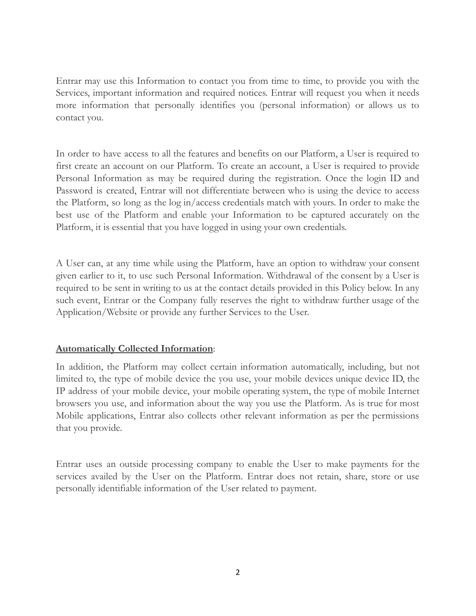Entrar may use this Information to contact you from time to time, to provide you with the Services, important information and required notices. Entrar will request you when it needs more information that personally identifies you (personal information) or allows us to contact you.

In order to have access to all the features and benefits on our Platform, a User is required to first create an account on our Platform. To create an account, a User is required to provide Personal Information as may be required during the registration. Once the login ID and Password is created, Entrar will not differentiate between who is using the device to access the Platform, so long as the log in/access credentials match with yours. In order to make the best use of the Platform and enable your Information to be captured accurately on the Platform, it is essential that you have logged in using your own credentials.

A User can, at any time while using the Platform, have an option to withdraw your consent given earlier to it, to use such Personal Information. Withdrawal of the consent by a User is required to be sent in writing to us at the contact details provided in this Policy below. In any such event, Entrar or the Company fully reserves the right to withdraw further usage of the Application/Website or provide any further Services to the User.

# **Automatically Collected Information**:

In addition, the Platform may collect certain information automatically, including, but not limited to, the type of mobile device the you use, your mobile devices unique device ID, the IP address of your mobile device, your mobile operating system, the type of mobile Internet browsers you use, and information about the way you use the Platform. As is true for most Mobile applications, Entrar also collects other relevant information as per the permissions that you provide.

Entrar uses an outside processing company to enable the User to make payments for the services availed by the User on the Platform. Entrar does not retain, share, store or use personally identifiable information of the User related to payment.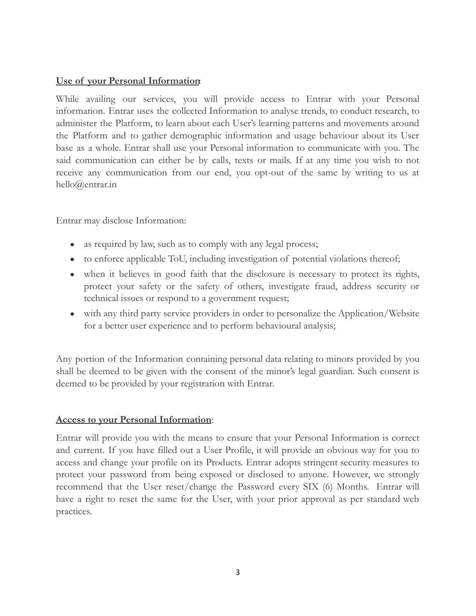### **Use of your Personal Information**:

While availing our services, you will provide access to Entrar with your Personal information. Entrar uses the collected Information to analyse trends, to conduct research, to administer the Platform, to learn about each User's learning patterns and movements around the Platform and to gather demographic information and usage behaviour about its User base as a whole. Entrar shall use your Personal information to communicate with you. The said communication can either be by calls, texts or mails. If at any time you wish to not receive any communication from our end, you opt-out of the same by writing to us at hello@entrar.in

Entrar may disclose Information:

- as required by law, such as to comply with any legal process;
- to enforce applicable ToU, including investigation of potential violations thereof;
- when it believes in good faith that the disclosure is necessary to protect its rights, protect your safety or the safety of others, investigate fraud, address security or technical issues or respond to a government request;
- with any third party service providers in order to personalize the Application/Website for a better user experience and to perform behavioural analysis;

Any portion of the Information containing personal data relating to minors provided by you shall be deemed to be given with the consent of the minor's legal guardian. Such consent is deemed to be provided by your registration with Entrar.

# **Access to your Personal Information**:

Entrar will provide you with the means to ensure that your Personal Information is correct and current. If you have filled out a User Profile, it will provide an obvious way for you to access and change your profile on its Products. Entrar adopts stringent security measures to protect your password from being exposed or disclosed to anyone. However, we strongly recommend that the User reset/change the Password every SIX (6) Months. Entrar will have a right to reset the same for the User, with your prior approval as per standard web practices.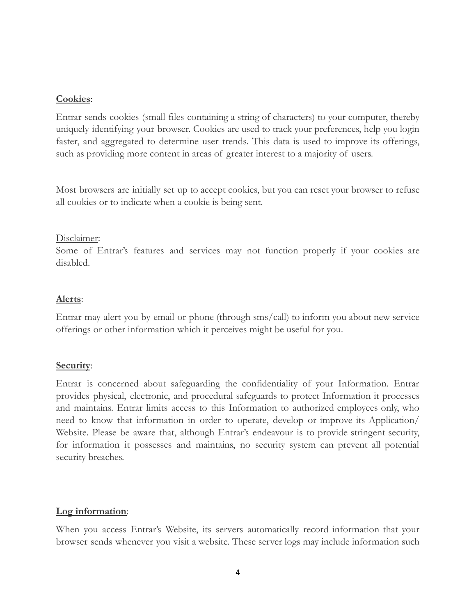### **Cookies**:

Entrar sends cookies (small files containing a string of characters) to your computer, thereby uniquely identifying your browser. Cookies are used to track your preferences, help you login faster, and aggregated to determine user trends. This data is used to improve its offerings, such as providing more content in areas of greater interest to a majority of users.

Most browsers are initially set up to accept cookies, but you can reset your browser to refuse all cookies or to indicate when a cookie is being sent.

#### Disclaimer:

Some of Entrar's features and services may not function properly if your cookies are disabled.

### **Alerts**:

Entrar may alert you by email or phone (through sms/call) to inform you about new service offerings or other information which it perceives might be useful for you.

# **Security**:

Entrar is concerned about safeguarding the confidentiality of your Information. Entrar provides physical, electronic, and procedural safeguards to protect Information it processes and maintains. Entrar limits access to this Information to authorized employees only, who need to know that information in order to operate, develop or improve its Application/ Website. Please be aware that, although Entrar's endeavour is to provide stringent security, for information it possesses and maintains, no security system can prevent all potential security breaches.

#### **Log information**:

When you access Entrar's Website, its servers automatically record information that your browser sends whenever you visit a website. These server logs may include information such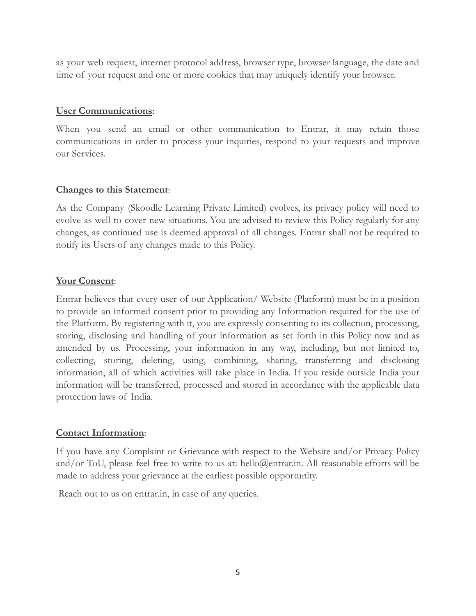as your web request, internet protocol address, browser type, browser language, the date and time of your request and one or more cookies that may uniquely identify your browser.

### **User Communications**:

When you send an email or other communication to Entrar, it may retain those communications in order to process your inquiries, respond to your requests and improve our Services.

# **Changes to this Statement**:

As the Company (Skoodle Learning Private Limited) evolves, its privacy policy will need to evolve as well to cover new situations. You are advised to review this Policy regularly for any changes, as continued use is deemed approval of all changes. Entrar shall not be required to notify its Users of any changes made to this Policy.

# **Your Consent**:

Entrar believes that every user of our Application/ Website (Platform) must be in a position to provide an informed consent prior to providing any Information required for the use of the Platform. By registering with it, you are expressly consenting to its collection, processing, storing, disclosing and handling of your information as set forth in this Policy now and as amended by us. Processing, your information in any way, including, but not limited to, collecting, storing, deleting, using, combining, sharing, transferring and disclosing information, all of which activities will take place in India. If you reside outside India your information will be transferred, processed and stored in accordance with the applicable data protection laws of India.

# **Contact Information**:

If you have any Complaint or Grievance with respect to the Website and/or Privacy Policy and/or ToU, please feel free to write to us at: hello@entrar.in. All reasonable efforts will be made to address your grievance at the earliest possible opportunity.

Reach out to us on entrar.in, in case of any queries.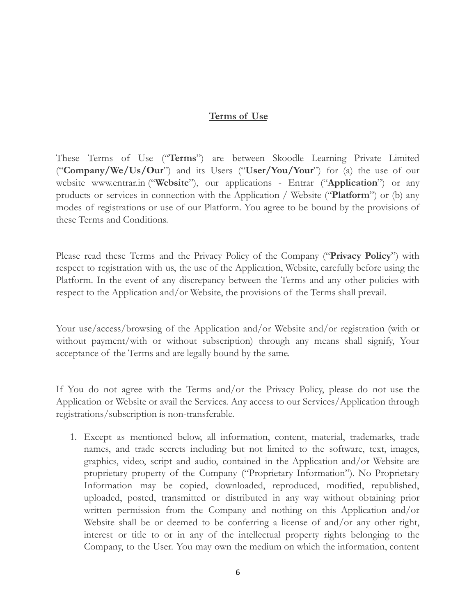#### **Terms of Use**

These Terms of Use ("**Terms**") are between Skoodle Learning Private Limited ("**Company/We/Us/Our**") and its Users ("**User/You/Your**") for (a) the use of our website www.entrar.in ("**Website**"), our applications - Entrar ("**Application**") or any products or services in connection with the Application / Website ("**Platform**") or (b) any modes of registrations or use of our Platform. You agree to be bound by the provisions of these Terms and Conditions.

Please read these Terms and the Privacy Policy of the Company ("**Privacy Policy**") with respect to registration with us, the use of the Application, Website, carefully before using the Platform. In the event of any discrepancy between the Terms and any other policies with respect to the Application and/or Website, the provisions of the Terms shall prevail.

Your use/access/browsing of the Application and/or Website and/or registration (with or without payment/with or without subscription) through any means shall signify, Your acceptance of the Terms and are legally bound by the same.

If You do not agree with the Terms and/or the Privacy Policy, please do not use the Application or Website or avail the Services. Any access to our Services/Application through registrations/subscription is non-transferable.

1. Except as mentioned below, all information, content, material, trademarks, trade names, and trade secrets including but not limited to the software, text, images, graphics, video, script and audio, contained in the Application and/or Website are proprietary property of the Company ("Proprietary Information"). No Proprietary Information may be copied, downloaded, reproduced, modified, republished, uploaded, posted, transmitted or distributed in any way without obtaining prior written permission from the Company and nothing on this Application and/or Website shall be or deemed to be conferring a license of and/or any other right, interest or title to or in any of the intellectual property rights belonging to the Company, to the User. You may own the medium on which the information, content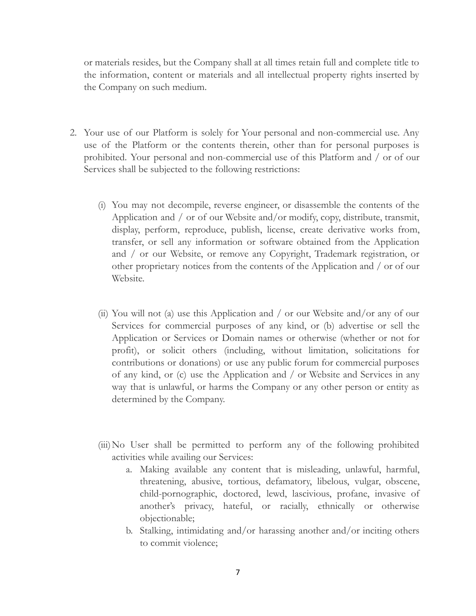or materials resides, but the Company shall at all times retain full and complete title to the information, content or materials and all intellectual property rights inserted by the Company on such medium.

- 2. Your use of our Platform is solely for Your personal and non-commercial use. Any use of the Platform or the contents therein, other than for personal purposes is prohibited. Your personal and non-commercial use of this Platform and / or of our Services shall be subjected to the following restrictions:
	- (i) You may not decompile, reverse engineer, or disassemble the contents of the Application and / or of our Website and/or modify, copy, distribute, transmit, display, perform, reproduce, publish, license, create derivative works from, transfer, or sell any information or software obtained from the Application and / or our Website, or remove any Copyright, Trademark registration, or other proprietary notices from the contents of the Application and / or of our Website.
	- (ii) You will not (a) use this Application and / or our Website and/or any of our Services for commercial purposes of any kind, or (b) advertise or sell the Application or Services or Domain names or otherwise (whether or not for profit), or solicit others (including, without limitation, solicitations for contributions or donations) or use any public forum for commercial purposes of any kind, or (c) use the Application and / or Website and Services in any way that is unlawful, or harms the Company or any other person or entity as determined by the Company.
	- (iii)No User shall be permitted to perform any of the following prohibited activities while availing our Services:
		- a. Making available any content that is misleading, unlawful, harmful, threatening, abusive, tortious, defamatory, libelous, vulgar, obscene, child-pornographic, doctored, lewd, lascivious, profane, invasive of another's privacy, hateful, or racially, ethnically or otherwise objectionable;
		- b. Stalking, intimidating and/or harassing another and/or inciting others to commit violence;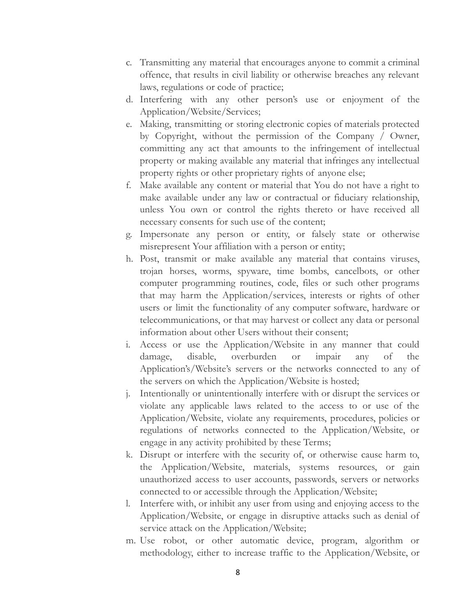- c. Transmitting any material that encourages anyone to commit a criminal offence, that results in civil liability or otherwise breaches any relevant laws, regulations or code of practice;
- d. Interfering with any other person's use or enjoyment of the Application/Website/Services;
- e. Making, transmitting or storing electronic copies of materials protected by Copyright, without the permission of the Company / Owner, committing any act that amounts to the infringement of intellectual property or making available any material that infringes any intellectual property rights or other proprietary rights of anyone else;
- f. Make available any content or material that You do not have a right to make available under any law or contractual or fiduciary relationship, unless You own or control the rights thereto or have received all necessary consents for such use of the content;
- g. Impersonate any person or entity, or falsely state or otherwise misrepresent Your affiliation with a person or entity;
- h. Post, transmit or make available any material that contains viruses, trojan horses, worms, spyware, time bombs, cancelbots, or other computer programming routines, code, files or such other programs that may harm the Application/services, interests or rights of other users or limit the functionality of any computer software, hardware or telecommunications, or that may harvest or collect any data or personal information about other Users without their consent;
- i. Access or use the Application/Website in any manner that could damage, disable, overburden or impair any of the Application's/Website's servers or the networks connected to any of the servers on which the Application/Website is hosted;
- j. Intentionally or unintentionally interfere with or disrupt the services or violate any applicable laws related to the access to or use of the Application/Website, violate any requirements, procedures, policies or regulations of networks connected to the Application/Website, or engage in any activity prohibited by these Terms;
- k. Disrupt or interfere with the security of, or otherwise cause harm to, the Application/Website, materials, systems resources, or gain unauthorized access to user accounts, passwords, servers or networks connected to or accessible through the Application/Website;
- l. Interfere with, or inhibit any user from using and enjoying access to the Application/Website, or engage in disruptive attacks such as denial of service attack on the Application/Website;
- m. Use robot, or other automatic device, program, algorithm or methodology, either to increase traffic to the Application/Website, or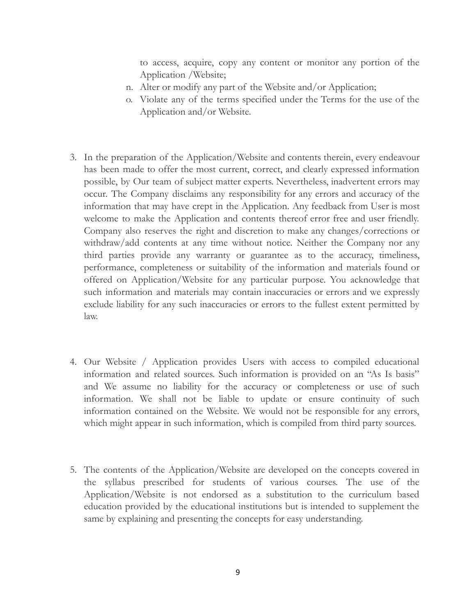to access, acquire, copy any content or monitor any portion of the Application /Website;

- n. Alter or modify any part of the Website and/or Application;
- o. Violate any of the terms specified under the Terms for the use of the Application and/or Website.
- 3. In the preparation of the Application/Website and contents therein, every endeavour has been made to offer the most current, correct, and clearly expressed information possible, by Our team of subject matter experts. Nevertheless, inadvertent errors may occur. The Company disclaims any responsibility for any errors and accuracy of the information that may have crept in the Application. Any feedback from User is most welcome to make the Application and contents thereof error free and user friendly. Company also reserves the right and discretion to make any changes/corrections or withdraw/add contents at any time without notice. Neither the Company nor any third parties provide any warranty or guarantee as to the accuracy, timeliness, performance, completeness or suitability of the information and materials found or offered on Application/Website for any particular purpose. You acknowledge that such information and materials may contain inaccuracies or errors and we expressly exclude liability for any such inaccuracies or errors to the fullest extent permitted by law.
- 4. Our Website / Application provides Users with access to compiled educational information and related sources. Such information is provided on an "As Is basis" and We assume no liability for the accuracy or completeness or use of such information. We shall not be liable to update or ensure continuity of such information contained on the Website. We would not be responsible for any errors, which might appear in such information, which is compiled from third party sources.
- 5. The contents of the Application/Website are developed on the concepts covered in the syllabus prescribed for students of various courses. The use of the Application/Website is not endorsed as a substitution to the curriculum based education provided by the educational institutions but is intended to supplement the same by explaining and presenting the concepts for easy understanding.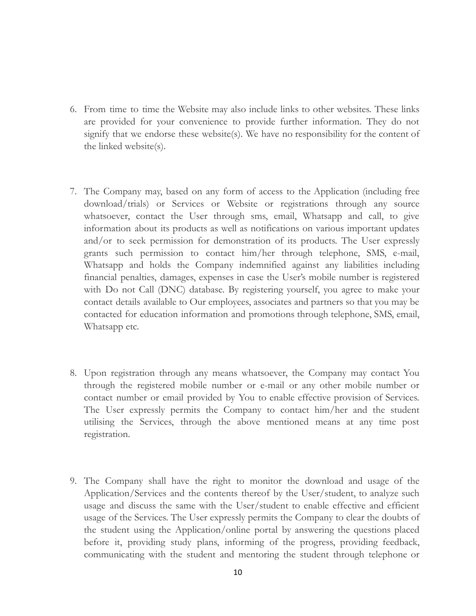- 6. From time to time the Website may also include links to other websites. These links are provided for your convenience to provide further information. They do not signify that we endorse these website(s). We have no responsibility for the content of the linked website(s).
- 7. The Company may, based on any form of access to the Application (including free download/trials) or Services or Website or registrations through any source whatsoever, contact the User through sms, email, Whatsapp and call, to give information about its products as well as notifications on various important updates and/or to seek permission for demonstration of its products. The User expressly grants such permission to contact him/her through telephone, SMS, e-mail, Whatsapp and holds the Company indemnified against any liabilities including financial penalties, damages, expenses in case the User's mobile number is registered with Do not Call (DNC) database. By registering yourself, you agree to make your contact details available to Our employees, associates and partners so that you may be contacted for education information and promotions through telephone, SMS, email, Whatsapp etc.
- 8. Upon registration through any means whatsoever, the Company may contact You through the registered mobile number or e-mail or any other mobile number or contact number or email provided by You to enable effective provision of Services. The User expressly permits the Company to contact him/her and the student utilising the Services, through the above mentioned means at any time post registration.
- 9. The Company shall have the right to monitor the download and usage of the Application/Services and the contents thereof by the User/student, to analyze such usage and discuss the same with the User/student to enable effective and efficient usage of the Services. The User expressly permits the Company to clear the doubts of the student using the Application/online portal by answering the questions placed before it, providing study plans, informing of the progress, providing feedback, communicating with the student and mentoring the student through telephone or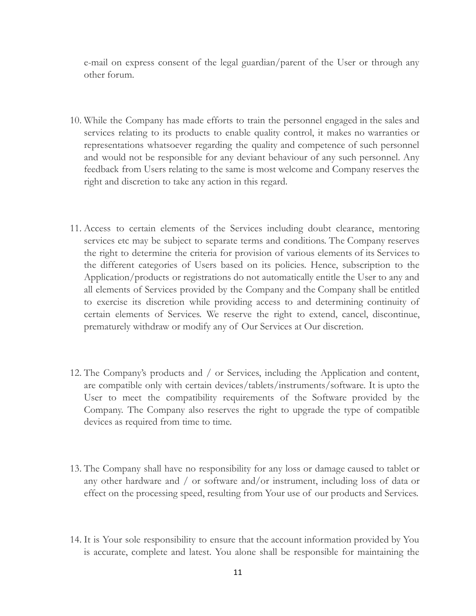e-mail on express consent of the legal guardian/parent of the User or through any other forum.

- 10. While the Company has made efforts to train the personnel engaged in the sales and services relating to its products to enable quality control, it makes no warranties or representations whatsoever regarding the quality and competence of such personnel and would not be responsible for any deviant behaviour of any such personnel. Any feedback from Users relating to the same is most welcome and Company reserves the right and discretion to take any action in this regard.
- 11. Access to certain elements of the Services including doubt clearance, mentoring services etc may be subject to separate terms and conditions. The Company reserves the right to determine the criteria for provision of various elements of its Services to the different categories of Users based on its policies. Hence, subscription to the Application/products or registrations do not automatically entitle the User to any and all elements of Services provided by the Company and the Company shall be entitled to exercise its discretion while providing access to and determining continuity of certain elements of Services. We reserve the right to extend, cancel, discontinue, prematurely withdraw or modify any of Our Services at Our discretion.
- 12. The Company's products and / or Services, including the Application and content, are compatible only with certain devices/tablets/instruments/software. It is upto the User to meet the compatibility requirements of the Software provided by the Company. The Company also reserves the right to upgrade the type of compatible devices as required from time to time.
- 13. The Company shall have no responsibility for any loss or damage caused to tablet or any other hardware and / or software and/or instrument, including loss of data or effect on the processing speed, resulting from Your use of our products and Services.
- 14. It is Your sole responsibility to ensure that the account information provided by You is accurate, complete and latest. You alone shall be responsible for maintaining the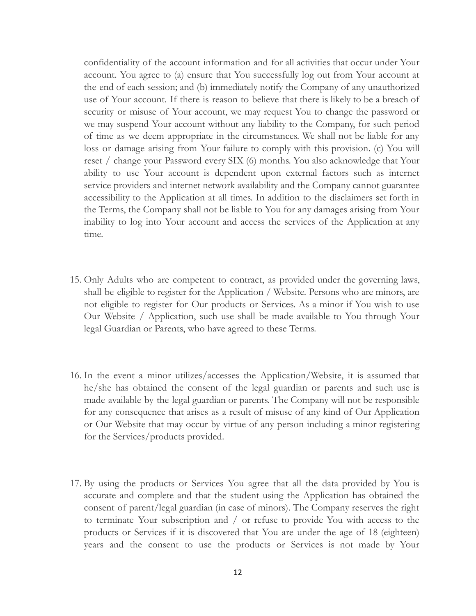confidentiality of the account information and for all activities that occur under Your account. You agree to (a) ensure that You successfully log out from Your account at the end of each session; and (b) immediately notify the Company of any unauthorized use of Your account. If there is reason to believe that there is likely to be a breach of security or misuse of Your account, we may request You to change the password or we may suspend Your account without any liability to the Company, for such period of time as we deem appropriate in the circumstances. We shall not be liable for any loss or damage arising from Your failure to comply with this provision. (c) You will reset / change your Password every SIX (6) months. You also acknowledge that Your ability to use Your account is dependent upon external factors such as internet service providers and internet network availability and the Company cannot guarantee accessibility to the Application at all times. In addition to the disclaimers set forth in the Terms, the Company shall not be liable to You for any damages arising from Your inability to log into Your account and access the services of the Application at any time.

- 15. Only Adults who are competent to contract, as provided under the governing laws, shall be eligible to register for the Application / Website. Persons who are minors, are not eligible to register for Our products or Services. As a minor if You wish to use Our Website / Application, such use shall be made available to You through Your legal Guardian or Parents, who have agreed to these Terms.
- 16. In the event a minor utilizes/accesses the Application/Website, it is assumed that he/she has obtained the consent of the legal guardian or parents and such use is made available by the legal guardian or parents. The Company will not be responsible for any consequence that arises as a result of misuse of any kind of Our Application or Our Website that may occur by virtue of any person including a minor registering for the Services/products provided.
- 17. By using the products or Services You agree that all the data provided by You is accurate and complete and that the student using the Application has obtained the consent of parent/legal guardian (in case of minors). The Company reserves the right to terminate Your subscription and / or refuse to provide You with access to the products or Services if it is discovered that You are under the age of 18 (eighteen) years and the consent to use the products or Services is not made by Your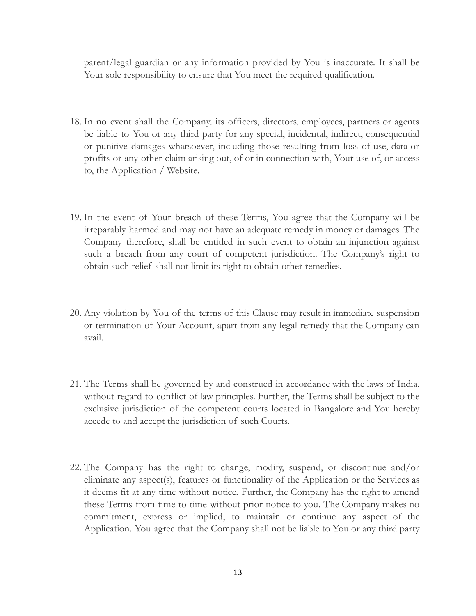parent/legal guardian or any information provided by You is inaccurate. It shall be Your sole responsibility to ensure that You meet the required qualification.

- 18. In no event shall the Company, its officers, directors, employees, partners or agents be liable to You or any third party for any special, incidental, indirect, consequential or punitive damages whatsoever, including those resulting from loss of use, data or profits or any other claim arising out, of or in connection with, Your use of, or access to, the Application / Website.
- 19. In the event of Your breach of these Terms, You agree that the Company will be irreparably harmed and may not have an adequate remedy in money or damages. The Company therefore, shall be entitled in such event to obtain an injunction against such a breach from any court of competent jurisdiction. The Company's right to obtain such relief shall not limit its right to obtain other remedies.
- 20. Any violation by You of the terms of this Clause may result in immediate suspension or termination of Your Account, apart from any legal remedy that the Company can avail.
- 21. The Terms shall be governed by and construed in accordance with the laws of India, without regard to conflict of law principles. Further, the Terms shall be subject to the exclusive jurisdiction of the competent courts located in Bangalore and You hereby accede to and accept the jurisdiction of such Courts.
- 22. The Company has the right to change, modify, suspend, or discontinue and/or eliminate any aspect(s), features or functionality of the Application or the Services as it deems fit at any time without notice. Further, the Company has the right to amend these Terms from time to time without prior notice to you. The Company makes no commitment, express or implied, to maintain or continue any aspect of the Application. You agree that the Company shall not be liable to You or any third party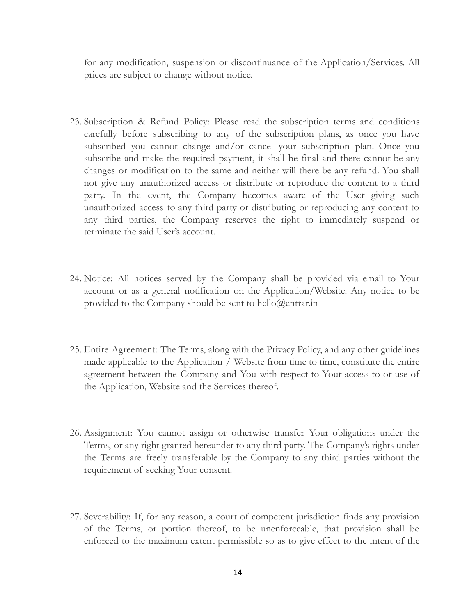for any modification, suspension or discontinuance of the Application/Services. All prices are subject to change without notice.

- 23. Subscription & Refund Policy: Please read the subscription terms and conditions carefully before subscribing to any of the subscription plans, as once you have subscribed you cannot change and/or cancel your subscription plan. Once you subscribe and make the required payment, it shall be final and there cannot be any changes or modification to the same and neither will there be any refund. You shall not give any unauthorized access or distribute or reproduce the content to a third party. In the event, the Company becomes aware of the User giving such unauthorized access to any third party or distributing or reproducing any content to any third parties, the Company reserves the right to immediately suspend or terminate the said User's account.
- 24. Notice: All notices served by the Company shall be provided via email to Your account or as a general notification on the Application/Website. Any notice to be provided to the Company should be sent to hello@entrar.in
- 25. Entire Agreement: The Terms, along with the Privacy Policy, and any other guidelines made applicable to the Application / Website from time to time, constitute the entire agreement between the Company and You with respect to Your access to or use of the Application, Website and the Services thereof.
- 26. Assignment: You cannot assign or otherwise transfer Your obligations under the Terms, or any right granted hereunder to any third party. The Company's rights under the Terms are freely transferable by the Company to any third parties without the requirement of seeking Your consent.
- 27. Severability: If, for any reason, a court of competent jurisdiction finds any provision of the Terms, or portion thereof, to be unenforceable, that provision shall be enforced to the maximum extent permissible so as to give effect to the intent of the